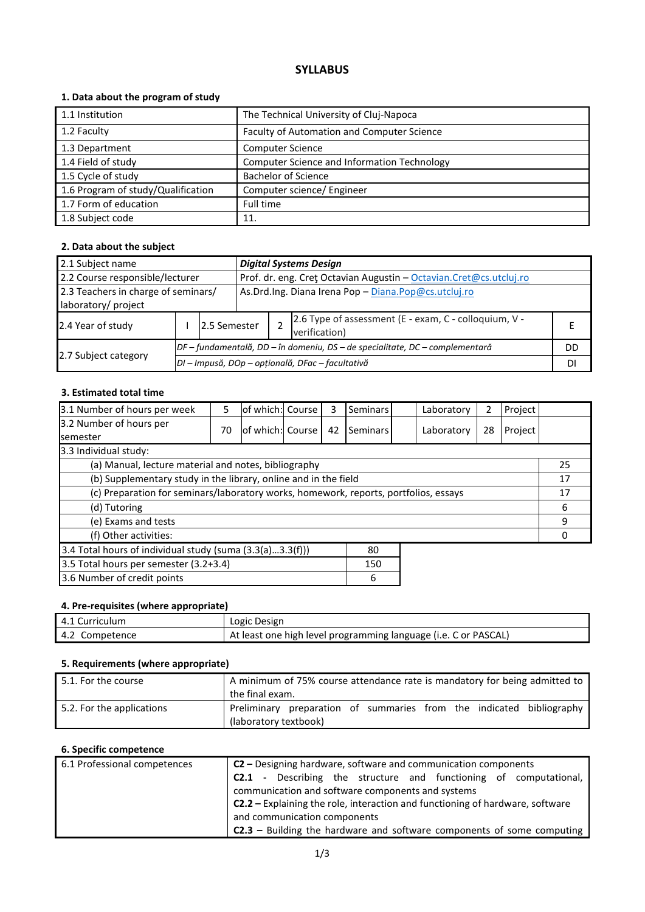# **SYLLABUS**

## **1. Data about the program of study**

| 1.1 Institution                    | The Technical University of Cluj-Napoca     |
|------------------------------------|---------------------------------------------|
| 1.2 Faculty                        | Faculty of Automation and Computer Science  |
| 1.3 Department                     | <b>Computer Science</b>                     |
| 1.4 Field of study                 | Computer Science and Information Technology |
| 1.5 Cycle of study                 | <b>Bachelor of Science</b>                  |
| 1.6 Program of study/Qualification | Computer science/ Engineer                  |
| 1.7 Form of education              | Full time                                   |
| 1.8 Subject code                   | 11.                                         |

## **2. Data about the subject**

| 2.1 Subject name<br><b>Digital Systems Design</b>                                                      |  |                                                  |                                                                              |  |  |  |
|--------------------------------------------------------------------------------------------------------|--|--------------------------------------------------|------------------------------------------------------------------------------|--|--|--|
| 2.2 Course responsible/lecturer<br>Prof. dr. eng. Cret Octavian Augustin - Octavian. Cret@cs.utcluj.ro |  |                                                  |                                                                              |  |  |  |
| 2.3 Teachers in charge of seminars/<br>laboratory/ project                                             |  |                                                  | As.Drd.Ing. Diana Irena Pop - Diana.Pop@cs.utcluj.ro                         |  |  |  |
| 2.4 Year of study                                                                                      |  | 2.5 Semester                                     | 2.6 Type of assessment (E - exam, C - colloquium, V -<br>verification)       |  |  |  |
|                                                                                                        |  |                                                  | DF – fundamentală, DD – în domeniu, DS – de specialitate, DC – complementară |  |  |  |
| 2.7 Subject category                                                                                   |  | DI - Impusă, DOp - opțională, DFac - facultativă |                                                                              |  |  |  |

### **3. Estimated total time**

| 3.1 Number of hours per week                                                         | 5  | lof which: Course |  | 3  | <b>Seminars</b> | Laboratory | 2  | Project |    |
|--------------------------------------------------------------------------------------|----|-------------------|--|----|-----------------|------------|----|---------|----|
| 3.2 Number of hours per<br><b>semester</b>                                           | 70 | of which: Course  |  | 42 | Seminars        | Laboratory | 28 | Project |    |
| 3.3 Individual study:                                                                |    |                   |  |    |                 |            |    |         |    |
| (a) Manual, lecture material and notes, bibliography                                 |    |                   |  |    |                 |            |    |         | 25 |
| (b) Supplementary study in the library, online and in the field                      |    |                   |  |    |                 | 17         |    |         |    |
| (c) Preparation for seminars/laboratory works, homework, reports, portfolios, essays |    |                   |  |    |                 | 17         |    |         |    |
| (d) Tutoring                                                                         |    |                   |  |    |                 | 6          |    |         |    |
| (e) Exams and tests                                                                  |    |                   |  |    |                 | 9          |    |         |    |
| (f) Other activities:                                                                |    |                   |  |    |                 |            |    |         |    |
| 3.4 Total hours of individual study (suma (3.3(a)3.3(f)))<br>80                      |    |                   |  |    |                 |            |    |         |    |
| 3.5 Total hours per semester (3.2+3.4)                                               |    |                   |  |    | 150             |            |    |         |    |
| 3.6 Number of credit points                                                          |    |                   |  |    | 6               |            |    |         |    |

#### **4. Pre-requisites (where appropriate)**

| 4.1 Curriculum | Logic Design                                                    |
|----------------|-----------------------------------------------------------------|
| 4.2 Competence | At least one high level programming language (i.e. C or PASCAL) |

## **5. Requirements (where appropriate)**

| 5.1. For the course       | A minimum of 75% course attendance rate is mandatory for being admitted to<br>the final exam. |  |  |  |  |
|---------------------------|-----------------------------------------------------------------------------------------------|--|--|--|--|
| 5.2. For the applications | Preliminary preparation of summaries from the indicated bibliography<br>(laboratory textbook) |  |  |  |  |

#### **6. Specific competence**

| 6.1 Professional competences | $C2$ – Designing hardware, software and communication components                |  |  |  |  |  |
|------------------------------|---------------------------------------------------------------------------------|--|--|--|--|--|
|                              | - Describing the structure and functioning of computational,<br>C2.1            |  |  |  |  |  |
|                              | communication and software components and systems                               |  |  |  |  |  |
|                              | $C2.2$ – Explaining the role, interaction and functioning of hardware, software |  |  |  |  |  |
|                              | and communication components                                                    |  |  |  |  |  |
|                              | <b>C2.3</b> – Building the hardware and software components of some computing   |  |  |  |  |  |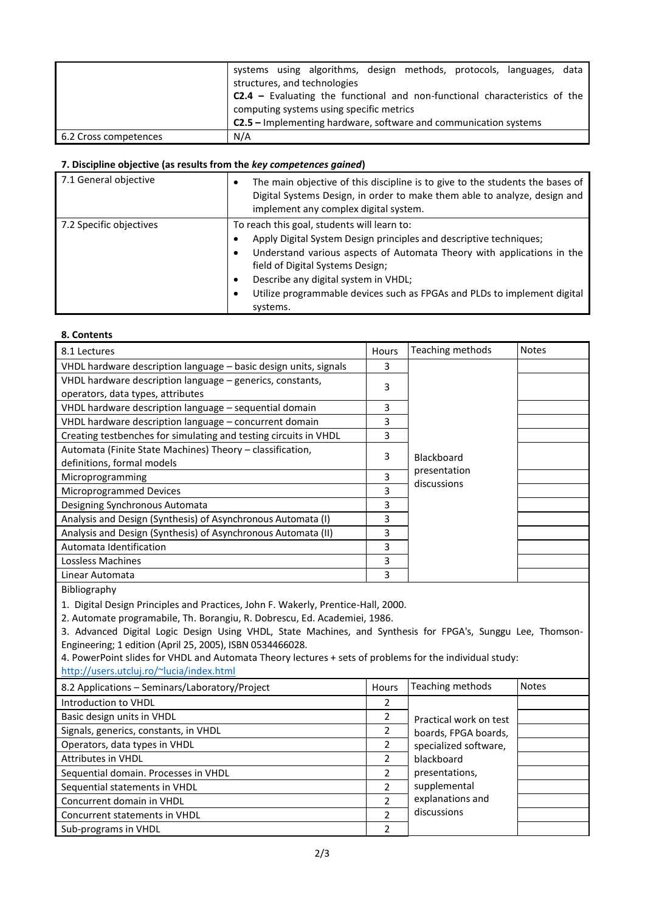|                       | systems using algorithms, design methods, protocols, languages, data<br>structures, and technologies                     |
|-----------------------|--------------------------------------------------------------------------------------------------------------------------|
|                       | $C2.4$ – Evaluating the functional and non-functional characteristics of the<br>computing systems using specific metrics |
|                       | <b>C2.5</b> – Implementing hardware, software and communication systems                                                  |
| 6.2 Cross competences | N/A                                                                                                                      |

### **7. Discipline objective (as results from the** *key competences gained***)**

| 7.1 General objective   | The main objective of this discipline is to give to the students the bases of<br>Digital Systems Design, in order to make them able to analyze, design and<br>implement any complex digital system.                                                                                                                                                                  |
|-------------------------|----------------------------------------------------------------------------------------------------------------------------------------------------------------------------------------------------------------------------------------------------------------------------------------------------------------------------------------------------------------------|
| 7.2 Specific objectives | To reach this goal, students will learn to:<br>Apply Digital System Design principles and descriptive techniques;<br>Understand various aspects of Automata Theory with applications in the<br>field of Digital Systems Design;<br>Describe any digital system in VHDL;<br>٠<br>Utilize programmable devices such as FPGAs and PLDs to implement digital<br>systems. |

#### **8. Contents**

| 8.1 Lectures                                                     | Hours | Teaching methods            | <b>Notes</b> |
|------------------------------------------------------------------|-------|-----------------------------|--------------|
| VHDL hardware description language - basic design units, signals | 3     |                             |              |
| VHDL hardware description language - generics, constants,        | 3     |                             |              |
| operators, data types, attributes                                |       |                             |              |
| VHDL hardware description language - sequential domain           | 3     |                             |              |
| VHDL hardware description language - concurrent domain           | 3     |                             |              |
| Creating testbenches for simulating and testing circuits in VHDL | 3     |                             |              |
| Automata (Finite State Machines) Theory - classification,        | 3     |                             |              |
| definitions, formal models                                       |       | Blackboard                  |              |
| Microprogramming                                                 | 3     | presentation<br>discussions |              |
| Microprogrammed Devices                                          | 3     |                             |              |
| Designing Synchronous Automata                                   | 3     |                             |              |
| Analysis and Design (Synthesis) of Asynchronous Automata (I)     | 3     |                             |              |
| Analysis and Design (Synthesis) of Asynchronous Automata (II)    | 3     |                             |              |
| Automata Identification                                          | 3     |                             |              |
| Lossless Machines                                                | 3     |                             |              |
| Linear Automata                                                  | 3     |                             |              |

Bibliography

1. Digital Design Principles and Practices, John F. Wakerly, Prentice-Hall, 2000.

2. Automate programabile, Th. Borangiu, R. Dobrescu, Ed. Academiei, 1986.

3. Advanced Digital Logic Design Using VHDL, State Machines, and Synthesis for FPGA's, Sunggu Lee, Thomson-Engineering; 1 edition (April 25, 2005), ISBN 0534466028.

4. PowerPoint slides for VHDL and Automata Theory lectures + sets of problems for the individual study: <http://users.utcluj.ro/~lucia/index.html>

| 8.2 Applications - Seminars/Laboratory/Project | <b>Hours</b>   | Teaching methods       | <b>Notes</b> |
|------------------------------------------------|----------------|------------------------|--------------|
| Introduction to VHDL                           | 2              |                        |              |
| Basic design units in VHDL                     | 2              | Practical work on test |              |
| Signals, generics, constants, in VHDL          | 2              | boards, FPGA boards,   |              |
| Operators, data types in VHDL                  |                | specialized software,  |              |
| <b>Attributes in VHDL</b>                      | 2              | blackboard             |              |
| Sequential domain. Processes in VHDL           | 2              | presentations,         |              |
| Sequential statements in VHDL                  | $\mathfrak{p}$ | supplemental           |              |
| Concurrent domain in VHDL                      | $\mathcal{P}$  | explanations and       |              |
| Concurrent statements in VHDL                  | $\mathfrak{p}$ | discussions            |              |
| Sub-programs in VHDL                           | 2              |                        |              |